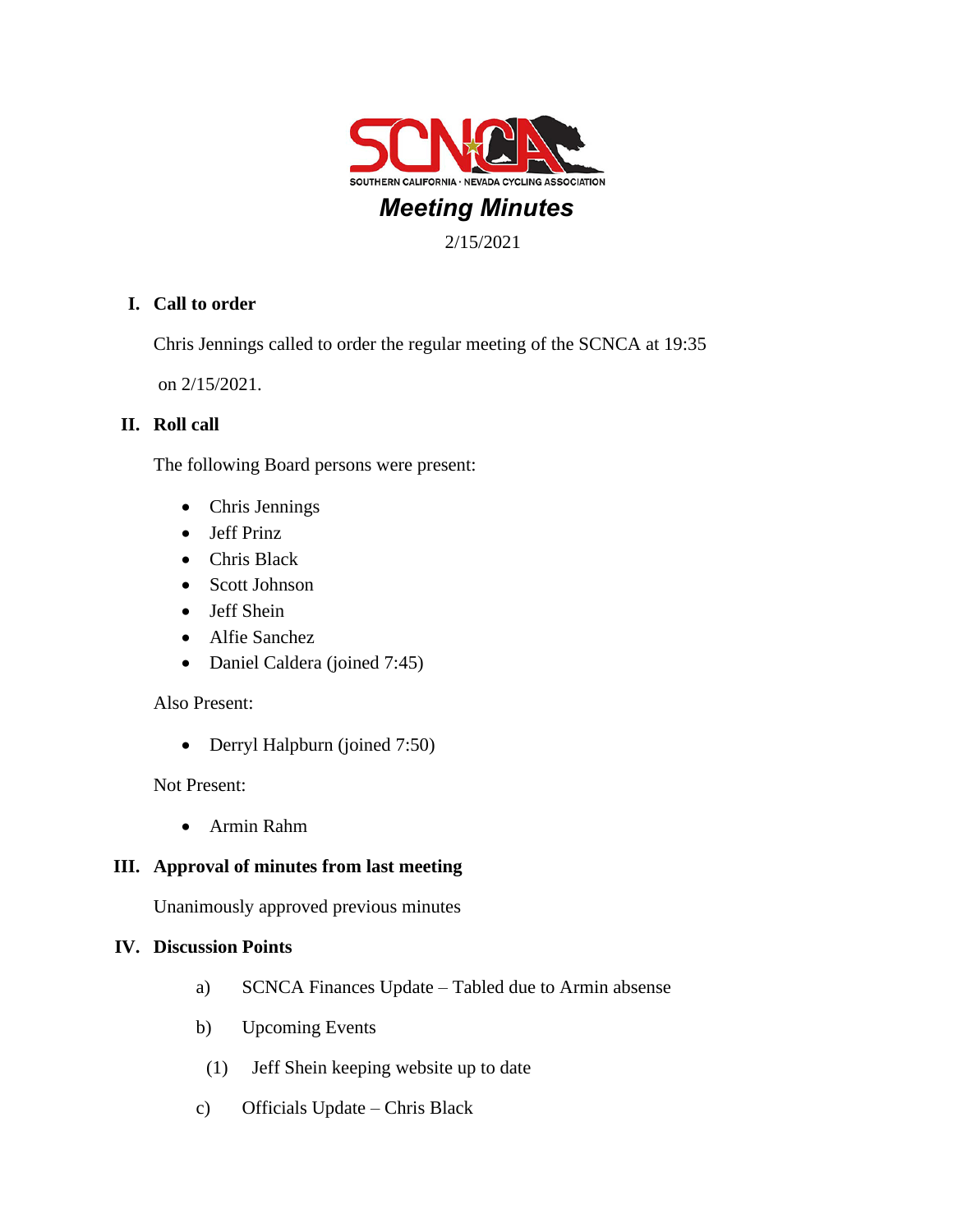

# 2/15/2021

# **I. Call to order**

Chris Jennings called to order the regular meeting of the SCNCA at 19:35

on 2/15/2021.

## **II. Roll call**

The following Board persons were present:

- Chris Jennings
- Jeff Prinz
- Chris Black
- Scott Johnson
- Jeff Shein
- Alfie Sanchez
- Daniel Caldera (joined 7:45)

### Also Present:

• Derryl Halpburn (joined 7:50)

Not Present:

• Armin Rahm

# **III. Approval of minutes from last meeting**

Unanimously approved previous minutes

### **IV. Discussion Points**

- a) SCNCA Finances Update Tabled due to Armin absense
- b) Upcoming Events
- (1) Jeff Shein keeping website up to date
- c) Officials Update Chris Black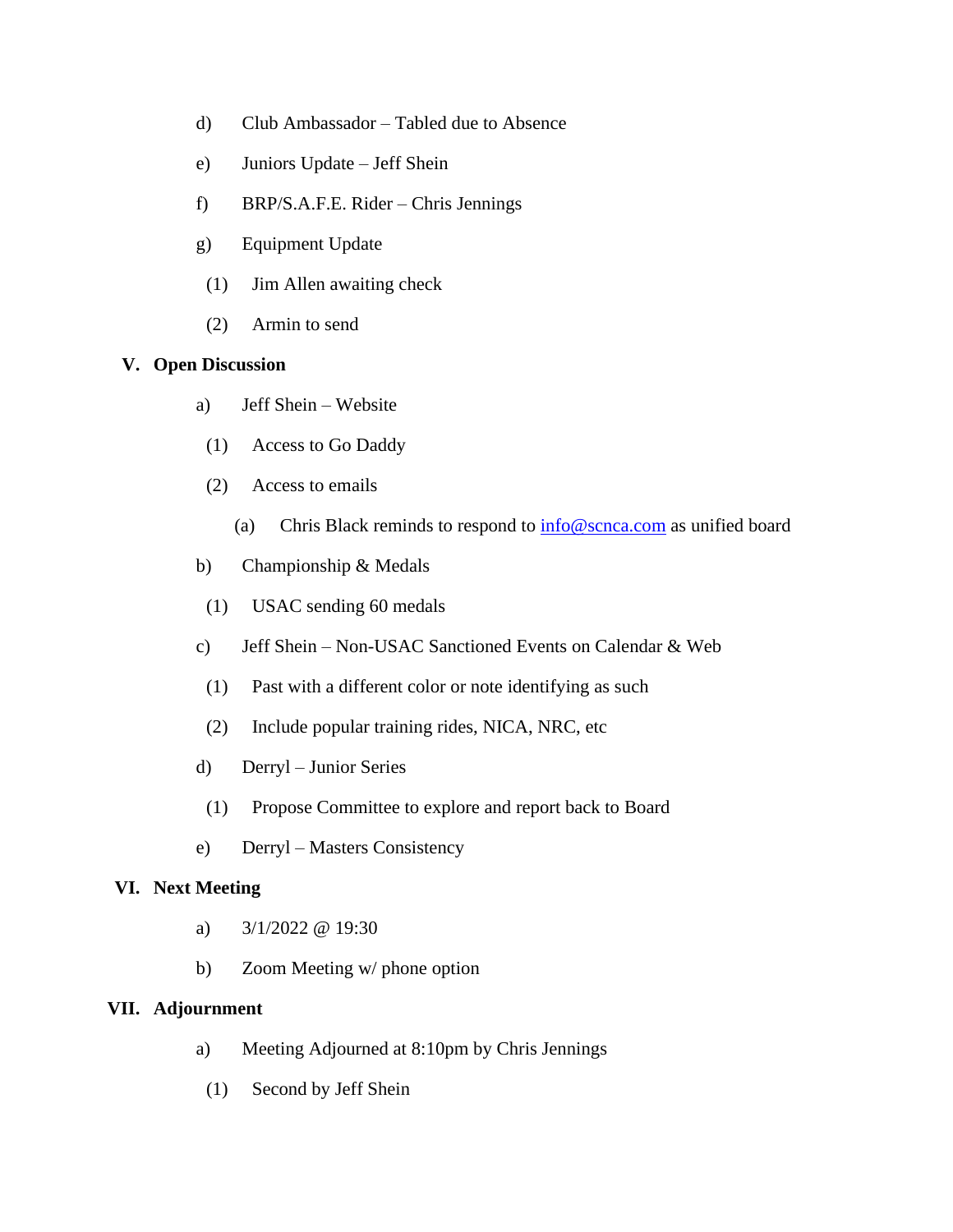- d) Club Ambassador Tabled due to Absence
- e) Juniors Update Jeff Shein
- f) BRP/S.A.F.E. Rider Chris Jennings
- g) Equipment Update
- (1) Jim Allen awaiting check
- (2) Armin to send

### **V. Open Discussion**

- a) Jeff Shein Website
- (1) Access to Go Daddy
- (2) Access to emails
	- (a) Chris Black reminds to respond to  $\frac{info@scnca.com}{info@scnca.com}$  as unified board
- b) Championship & Medals
- (1) USAC sending 60 medals
- c) Jeff Shein Non-USAC Sanctioned Events on Calendar & Web
- (1) Past with a different color or note identifying as such
- (2) Include popular training rides, NICA, NRC, etc
- d) Derryl Junior Series
- (1) Propose Committee to explore and report back to Board
- e) Derryl Masters Consistency

#### **VI. Next Meeting**

- a)  $3/1/2022 \omega$  19:30
- b) Zoom Meeting w/ phone option

### **VII. Adjournment**

- a) Meeting Adjourned at 8:10pm by Chris Jennings
- (1) Second by Jeff Shein